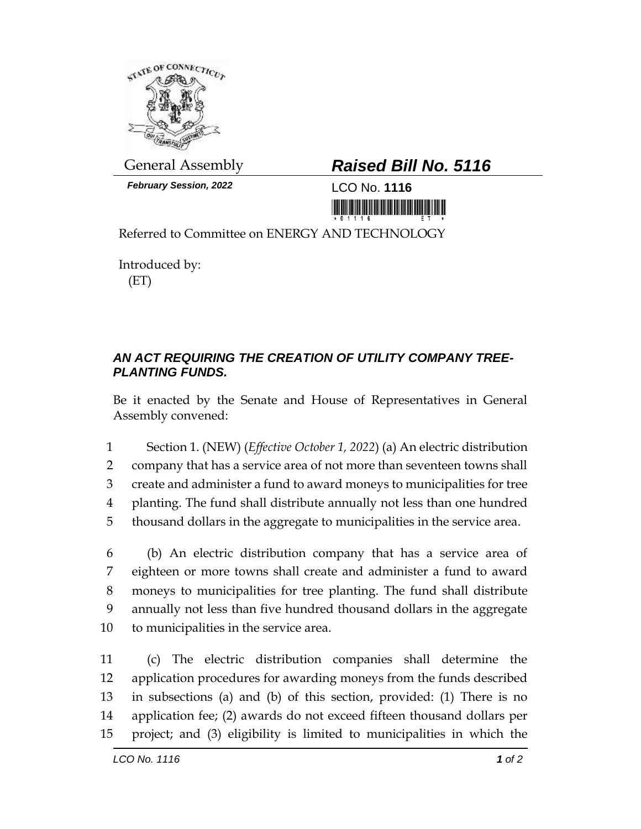

*February Session, 2022* LCO No. **1116**

## General Assembly *Raised Bill No. 5116*

<u> III MARIJI MARIJI MARIJI MARIJI MARIJI MARIJI MARIJI MARIJI MARIJI MARIJI MARIJI MARIJI MARIJI MARIJI MARIJI </u>

Referred to Committee on ENERGY AND TECHNOLOGY

Introduced by: (ET)

## *AN ACT REQUIRING THE CREATION OF UTILITY COMPANY TREE-PLANTING FUNDS.*

Be it enacted by the Senate and House of Representatives in General Assembly convened:

 Section 1. (NEW) (*Effective October 1, 2022*) (a) An electric distribution company that has a service area of not more than seventeen towns shall create and administer a fund to award moneys to municipalities for tree planting. The fund shall distribute annually not less than one hundred thousand dollars in the aggregate to municipalities in the service area.

 (b) An electric distribution company that has a service area of eighteen or more towns shall create and administer a fund to award moneys to municipalities for tree planting. The fund shall distribute annually not less than five hundred thousand dollars in the aggregate to municipalities in the service area.

 (c) The electric distribution companies shall determine the application procedures for awarding moneys from the funds described in subsections (a) and (b) of this section, provided: (1) There is no application fee; (2) awards do not exceed fifteen thousand dollars per project; and (3) eligibility is limited to municipalities in which the